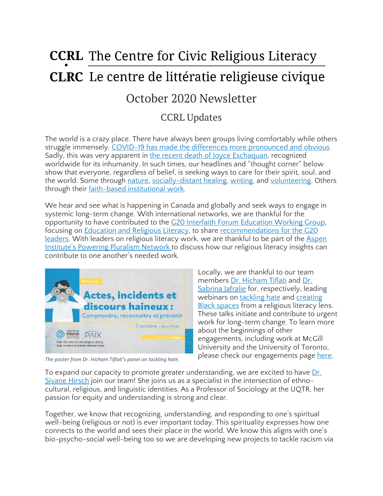# **CCRL** The Centre for Civic Religious Literacy **CLRC** Le centre de littératie religieuse civique

# October 2020 Newsletter

## CCRL Updates

The world is a crazy place. There have always been groups living comfortably while others struggle immensely. COVID-19 has made the differences more [pronounced](https://www150.statcan.gc.ca/n1/daily-quotidien/200917/dq200917a-eng.htm) and obvious. Sadly, this was very apparent in the recent death of Joyce [Eschaquan,](https://www.aljazeera.com/features/2020/10/5/it-was-sheer-hatred-indigenous-peoples-react-to-echaquan-death) recognized worldwide for its inhumanity. In such times, our headlines and "thought corner" below show that everyone, regardless of belief, is seeking ways to care for their spirit, soul, and the world. Some through [nature,](https://www.straight.com/living/seven-bc-fall-escapes-for-those-feeling-urge-to-get-out-of-town) [socially-distant](https://ckpgtoday.ca/2020/10/04/memories-of-murdered-and-missing-indigenous-women-and-girls-live-on/) healing, [writing,](https://www.theguardian.pe.ca/lifestyles/local-lifestyles/pei-author-digs-deep-into-his-spiritual-experiences-506391/) and [volunteering.](https://www.canindia.com/ismaili-civic-hosts-collection-drive-for-local-shelters/) Others through their faith-based [institutional](https://www.cardus.ca/research/social-cities/reports/the-hidden-economy-how-faith-helps-fuel-canadas-gdp/) work.

We hear and see what is happening in Canada and globally and seek ways to engage in systemic long-term change. With international networks, we are thankful for the opportunity to have contributed to the G20 Interfaith Forum [Education](https://www.g20interfaith.org/wp-content/uploads/2020/07/G20i_Edu-TF_Consultation_27Jul_Participants.pdf) Working Group, focusing on **[Education](https://www.g20interfaith.org/education-and-religious-literacy/) and Religious Literacy**, to share [recommendations](https://www.g20interfaith.org/interfaith-approach-to-advancing-inclusive-education/) for the G20 [leaders.](https://www.g20interfaith.org/interfaith-approach-to-advancing-inclusive-education/) With leaders on religious literacy work, we are thankful to be part of the [Aspen](https://www.aspeninstitute.org/programs/inclusive-america-project/the-powering-pluralism-network/#:~:text=The%20Powering%20Pluralism%20Network%20(PPN,broad%20field%20of%20religious%20pluralism.) [Institute's](https://www.aspeninstitute.org/programs/inclusive-america-project/the-powering-pluralism-network/#:~:text=The%20Powering%20Pluralism%20Network%20(PPN,broad%20field%20of%20religious%20pluralism.) Powering Pluralism Network to discuss how our religious literacy insights can contribute to one another's needed work.



*The poster from Dr. Hicham Tiflati's panel on tackling hate.*

Locally, we are thankful to our team members Dr. [Hicham](https://ccrl-clrc.ca/hicham-tiflati) Tiflati and [Dr.](https://ccrl-clrc.ca/sabrina-jafralie) [Sabrina](https://ccrl-clrc.ca/sabrina-jafralie) Jafralie for, respectively, leading webinars on [tackling](https://journeesdelapaix.com/events/actes-incidents-et-discours-haineux-comprendre-reconnaitre-et-prevenir/) hate and [creating](https://montrealenaction.com/en/courses) Black [spaces](https://montrealenaction.com/en/courses) from a religious literacy lens. These talks initiate and contribute to urgent work for long-term change. To learn more about the beginnings of other engagements, including work at McGill University and the University of Toronto, please check our engagements page [here.](https://ccrl-clrc.ca/our-engagements/)

To expand our capacity to promote greater understanding, we are excited to have [Dr.](http://www.ccrl-clrc.ca/sivanehirsch) [Sivane](http://www.ccrl-clrc.ca/sivanehirsch) Hirsch join our team! She joins us as a specialist in the intersection of ethnocultural, religious, and linguistic identities. As a Professor of Sociology at the UQTR, her passion for equity and understanding is strong and clear.

Together, we know that recognizing, understanding, and responding to one's spiritual well-being (religious or not) is ever important today. This spirituality expresses how one connects to the world and sees their place in the world. We know this aligns with one's bio-psycho-social well-being too so we are developing new projects to tackle racism via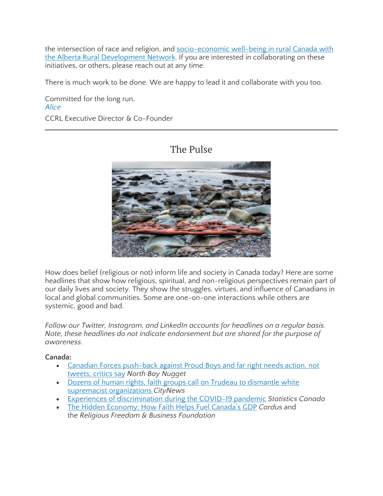the intersection of race and religion, and [socio-economic](https://docs.google.com/forms/d/e/1FAIpQLSfJRtIWkef3Phsm995-z3L96R0CKGto2AwJYeVk8D_QrFKyAg/viewform) well-being in rural Canada with the Alberta Rural [Development](https://docs.google.com/forms/d/e/1FAIpQLSfJRtIWkef3Phsm995-z3L96R0CKGto2AwJYeVk8D_QrFKyAg/viewform) Network. If you are interested in collaborating on these initiatives, or others, please reach out at any time.

There is much work to be done. We are happy to lead it and collaborate with you too.

Committed for the long run, *[Alice](https://ccrl-clrc.ca/alice-chan/)* CCRL Executive Director & Co-Founder

## The Pulse



How does belief (religious or not) inform life and society in Canada today? Here are some headlines that show how religious, spiritual, and non-religious perspectives remain part of our daily lives and society. They show the struggles, virtues, and influence of Canadians in local and global communities. Some are one-on-one interactions while others are systemic, good and bad.

*Follow our Twitter, Instagram, and LinkedIn accounts for headlines on a regular basis. Note, these headlines do not indicate endorsement but are shared for the purpose of awareness.*

#### **Canada:**

- Canadian Forces [push-back](https://www.nugget.ca/news/national/defence-watch/canadian-forces-pushback-against-proud-boys-and-far-right-needs-action-not-tweets-critics-say/wcm/06a40ec5-516b-4bce-92ea-dc3155695939) against Proud Boys and far right needs action, not [tweets,](https://www.nugget.ca/news/national/defence-watch/canadian-forces-pushback-against-proud-boys-and-far-right-needs-action-not-tweets-critics-say/wcm/06a40ec5-516b-4bce-92ea-dc3155695939) critics say *North Bay Nugget*
- Dozens of human rights, faith groups call on Trudeau to [dismantle](https://toronto.citynews.ca/2020/10/05/human-rights-groups-ask-feds-for-plan-to-deal-with-white-supremacy-in-canada-2/) white supremacist [organizations](https://toronto.citynews.ca/2020/10/05/human-rights-groups-ask-feds-for-plan-to-deal-with-white-supremacy-in-canada-2/) *CityNews*
- Experiences of [discrimination](https://www150.statcan.gc.ca/n1/daily-quotidien/200917/dq200917a-eng.htm) during the COVID-19 pandemic *Statistics Canada*
- The Hidden [Economy:](https://www.cardus.ca/research/social-cities/reports/the-hidden-economy-how-faith-helps-fuel-canadas-gdp/) How Faith Helps Fuel Canada's GDP *Cardus* and the *Religious Freedom & Business Foundation*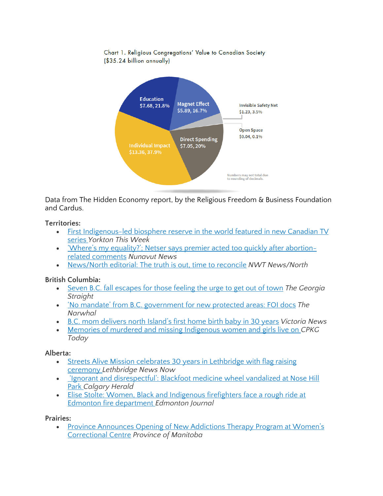Chart 1. Religious Congregations' Value to Canadian Society (\$35.24 billion annually)



Data from The Hidden Economy report, by the Religious Freedom & Business Foundation and Cardus.

#### **Territories:**

- First [Indigenous-led](https://www.yorktonthisweek.com/regional-news/first-indigenous-led-biosphere-reserve-in-the-world-featured-in-new-canadian-tv-series-1.24215337) biosphere reserve in the world featured in new Canadian TV [series](https://www.yorktonthisweek.com/regional-news/first-indigenous-led-biosphere-reserve-in-the-world-featured-in-new-canadian-tv-series-1.24215337) *Yorkton This Week*
- 'Where's my equality?'; Netser says premier acted too quickly after [abortion](https://nnsl.com/nunavut-news/wheres-my-equality-netser-says-premier-acted-too-quickly-after-abortion-related-comments/)related [comments](https://nnsl.com/nunavut-news/wheres-my-equality-netser-says-premier-acted-too-quickly-after-abortion-related-comments/) *Nunavut News*
- [News/North](https://nnsl.com/nwtnewsnorth/news-north-editorial-the-truth-is-out-time-to-reconcile/) editorial: The truth is out, time to reconcile *NWT News/North*

#### **British Columbia:**

- Seven B.C. fall [escapes](https://www.straight.com/living/seven-bc-fall-escapes-for-those-feeling-urge-to-get-out-of-town) for those feeling the urge to get out of town *The Georgia Straight*
- 'No mandate' from B.C. [government](https://thenarwhal.ca/bc-government-kaska-indigenous-protected-area-foi/) for new protected areas: FOI docs *The Narwhal*
- B.C. mom [delivers](https://www.vicnews.com/news/local-mom-delivers-north-islands-first-home-birth-baby-in-30-years-in-the-middle-of-a-pandemic/) north Island's first home birth baby in 30 years *Victoria News*
- Memories of murdered and missing [Indigenous](https://ckpgtoday.ca/2020/10/04/memories-of-murdered-and-missing-indigenous-women-and-girls-live-on/) women and girls live on *CPKG Today*

#### **Alberta:**

- Streets Alive Mission celebrates 30 years in [Lethbridge](https://lethbridgenewsnow.com/2020/10/05/streets-alive-mission-celebrates-30-years-in-lethbridge-with-flag-raising-ceremony/) with flag raising [ceremony](https://lethbridgenewsnow.com/2020/10/05/streets-alive-mission-celebrates-30-years-in-lethbridge-with-flag-raising-ceremony/) *Lethbridge News Now*
- 'Ignorant and [disrespectful':](https://calgaryherald.com/news/local-news/blackfoot-medicine-wheel-defaced-at-nose-hill-park) Blackfoot medicine wheel vandalized at Nose Hill [Park](https://calgaryherald.com/news/local-news/blackfoot-medicine-wheel-defaced-at-nose-hill-park) *Calgary Herald*
- Elise Stolte: Women, Black and [Indigenous](https://edmontonjournal.com/opinion/columnists/elise-stolte-understanding-the-systems-that-support-bias-and-racism-in-the-fire-department) firefighters face a rough ride at Edmonton fire [department](https://edmontonjournal.com/opinion/columnists/elise-stolte-understanding-the-systems-that-support-bias-and-racism-in-the-fire-department) *Edmonton Journal*

#### **Prairies:**

• Province [Announces](https://news.gov.mb.ca/news/index.html?item=49357) Opening of New Addictions Therapy Program at Women's [Correctional](https://news.gov.mb.ca/news/index.html?item=49357) Centre *Province of Manitoba*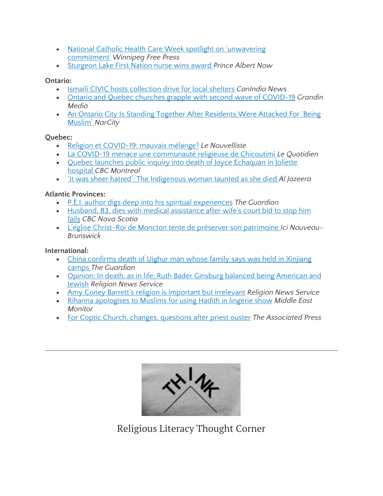- National Catholic Health Care Week spotlight on ['unwavering](https://www.winnipegfreepress.com/arts-and-life/life/faith/national-catholic-health-care-week-spotlight-on-unwavering-commitment-572646262.html) [commitment'](https://www.winnipegfreepress.com/arts-and-life/life/faith/national-catholic-health-care-week-spotlight-on-unwavering-commitment-572646262.html) *Winnipeg Free Press*
- [Sturgeon](https://panow.com/2020/10/02/sturgeon-lake-first-nation-nurse-wins-award/) Lake First Nation nurse wins award *Prince Albert Now*

#### **Ontario:**

- Ismaili CIVIC hosts [collection](https://www.canindia.com/ismaili-civic-hosts-collection-drive-for-local-shelters/) drive for local shelters *CanIndia News*
- Ontario and Quebec churches grapple with second wave of [COVID-19](https://grandinmedia.ca/ontario-and-quebec-churches-grapple-with-second-wave-of-covid-19/) *Grandin Media*
- An Ontario City Is Standing Together After [Residents](https://www.narcity.com/news/ca/on/toronto/guelph-hate-crime-led-to-the-entire-community-standing-up-for-the-victims) Were Attacked For 'Being [Muslim'](https://www.narcity.com/news/ca/on/toronto/guelph-hate-crime-led-to-the-entire-community-standing-up-for-the-victims) *NarCity*

#### **Quebec:**

- Religion et [COVID-19:](https://www.lenouvelliste.ca/actualites/religion-et-covid-19-mauvais-melange-4c1337a32044c01cbd18a4bd05e3de73) mauvais mélange? *Le Nouvelliste*
- La COVID-19 menace une [communauté](https://www.lequotidien.com/actualites/covid-19/la-covid-19-menace-une-communaute-religieuse-de-chicoutimi-a4f447f061de8ebe75d5aad32ed1a913) religieuse de Chicoutimi *Le Quotidien*
- Quebec launches public inquiry into death of Joyce [Echaquan](https://www.cbc.ca/news/canada/montreal/joyce-echaquan-atikamekw-manawan-joliette-1.5749665) in Joliette [hospital](https://www.cbc.ca/news/canada/montreal/joyce-echaquan-atikamekw-manawan-joliette-1.5749665) *CBC Montreal*
- 'It was sheer hatred': The [Indigenous](https://www.aljazeera.com/features/2020/10/5/it-was-sheer-hatred-indigenous-peoples-react-to-echaquan-death) woman taunted as she died *Al Jazeera*

#### **Atlantic Provinces:**

- P.E.I. author digs deep into his spiritual [experiences](https://www.theguardian.pe.ca/lifestyles/local-lifestyles/pei-author-digs-deep-into-his-spiritual-experiences-506391/) *The Guardian*
- Husband, 83, dies with medical [assistance](https://www.cbc.ca/news/canada/nova-scotia/nova-scotia-medical-assistance-in-dying-jack-sorenson-bridgewater-couple-court-1.5751454) after wife's court bid to stop him [fails](https://www.cbc.ca/news/canada/nova-scotia/nova-scotia-medical-assistance-in-dying-jack-sorenson-bridgewater-couple-court-1.5751454) *CBC Nova Scotia*
- L'église Christ-Roi de Moncton tente de préserver son [patrimoine](https://ici.radio-canada.ca/nouvelle/1738614/eglise-christ-roi-moncton-financement-patrimoine-jordi-bonet) *Ici Nouveau-Brunswick*

#### **International:**

- China [confirms](https://www.theguardian.com/world/2020/oct/02/china-confirms-death-of-uighur-man-whose-family-says-was-held-in-xinjiang-camps) death of Uighur man whose family says was held in Xinjiang [camps](https://www.theguardian.com/world/2020/oct/02/china-confirms-death-of-uighur-man-whose-family-says-was-held-in-xinjiang-camps) *The Guardian*
- Opinion: In death, as in life, Ruth Bader Ginsburg balanced being [American](https://religionnews.com/2020/09/26/in-death-as-in-life-ruth-bader-ginsburg-balanced-being-american-and-jewish/) and [Jewish](https://religionnews.com/2020/09/26/in-death-as-in-life-ruth-bader-ginsburg-balanced-being-american-and-jewish/) *Religion News Service*
- Amy Coney Barrett's religion is [important](https://religionnews.com/2020/09/26/amy-coney-barretts-religion-is-important-but-irrelevant/) but irrelevant *Religion News Service*
- Rihanna [apologises](https://www.middleeastmonitor.com/20201008-rihanna-apologises-to-muslims-for-using-hadith-in-lingerie-show/) to Muslims for using Hadith in lingerie show *Middle East Monitor*
- For Coptic Church, changes, [questions](https://apnews.com/article/egypt-media-florida-social-media-sexual-abuse-by-clergy-26e17b7551434e77e5880677e807bc51) after priest ouster *The Associated Press*



Religious Literacy Thought Corner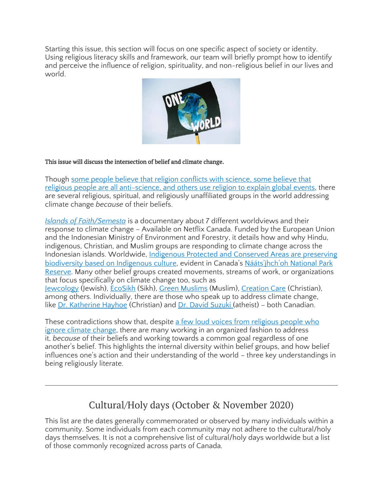Starting this issue, this section will focus on one specific aspect of society or identity. Using religious literacy skills and framework, our team will briefly prompt how to identify and perceive the influence of religion, spirituality, and non-religious belief in our lives and world.



#### This issue will discuss the intersection of belief and climate change.

Though some people believe that religion [conflicts](https://theconversation.com/god-plagues-and-pestilence-what-history-can-teach-us-about-living-through-a-pandemic-146094) with science, some believe that religious people are all [anti-science,](https://theconversation.com/god-plagues-and-pestilence-what-history-can-teach-us-about-living-through-a-pandemic-146094) and others use religion to explain global events, there are several religious, spiritual, and religiously unaffiliated groups in the world addressing climate change *because* of their beliefs.

*Islands of [Faith/Semesta](https://goggler.my/islands-of-faith-semesta/)* is a documentary about 7 different worldviews and their response to climate change – Available on Netflix Canada. Funded by the European Union and the Indonesian Ministry of Environment and Forestry, it details how and why Hindu, indigenous, Christian, and Muslim groups are responding to climate change across the Indonesian islands. Worldwide, [Indigenous](https://thenarwhal.ca/bc-government-kaska-indigenous-protected-area-foi/) Protected and Conserved Areas are preserving [biodiversity](https://thenarwhal.ca/bc-government-kaska-indigenous-protected-area-foi/) based on Indigenous culture, evident in Canada's Nááts'įhch'oh [National](https://www.youtube.com/watch?v=MZ8xl_4XT7A&feature=youtu.be) Park [Reserve.](https://www.youtube.com/watch?v=MZ8xl_4XT7A&feature=youtu.be) Many other belief groups created movements, streams of work, or organizations that focus specifically on climate change too, such as [Jewcology](https://jewcology.org/about/) (Jewish), [EcoSikh](http://www.ecosikh.org/about/) (Sikh), Green [Muslims](https://www.greenmuslims.org/) (Muslim), [Creation](https://omf.org/us/5-ways-to-participate-in-creation-care-where-youre-planted/) Care (Christian), among others. Individually, there are those who speak up to address climate change, like Dr. [Katherine](https://www.nytimes.com/2019/10/31/opinion/sunday/climate-change-evangelical-christian.html) Hayhoe (Christian) and Dr. David [Suzuki](https://ffrf.org/news/day/dayitems/item/17659-david-suzuki) (atheist) – both Canadian.

These contradictions show that, despite a few loud voices from [religious](https://theconversation.com/faith-and-politics-mix-to-drive-evangelical-christians-climate-change-denial-143145) people who ignore climate [change,](https://theconversation.com/faith-and-politics-mix-to-drive-evangelical-christians-climate-change-denial-143145) there are many working in an organized fashion to address it, *because* of their beliefs and working towards a common goal regardless of one another's belief. This highlights the internal diversity within belief groups, and how belief influences one's action and their understanding of the world – three key understandings in being religiously literate.

# Cultural/Holy days (October & November 2020)

This list are the dates generally commemorated or observed by many individuals within a community. Some individuals from each community may not adhere to the cultural/holy days themselves. It is not a comprehensive list of cultural/holy days worldwide but a list of those commonly recognized across parts of Canada.